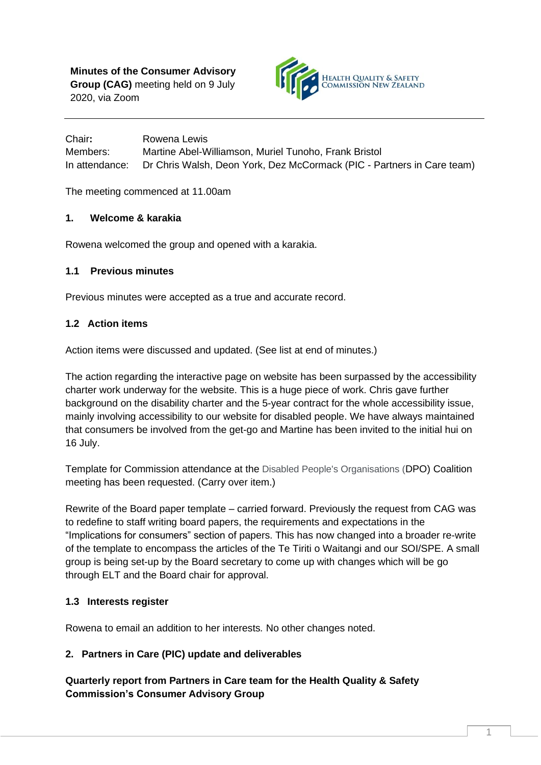

Chair**:** Rowena Lewis Members: Martine Abel-Williamson, Muriel Tunoho, Frank Bristol In attendance: Dr Chris Walsh, Deon York, Dez McCormack (PIC - Partners in Care team)

The meeting commenced at 11.00am

## **1. Welcome & karakia**

Rowena welcomed the group and opened with a karakia.

#### **1.1 Previous minutes**

Previous minutes were accepted as a true and accurate record.

## **1.2 Action items**

Action items were discussed and updated. (See list at end of minutes.)

The action regarding the interactive page on website has been surpassed by the accessibility charter work underway for the website. This is a huge piece of work. Chris gave further background on the disability charter and the 5-year contract for the whole accessibility issue, mainly involving accessibility to our website for disabled people. We have always maintained that consumers be involved from the get-go and Martine has been invited to the initial hui on 16 July.

Template for Commission attendance at the Disabled People's Organisations (DPO) Coalition meeting has been requested. (Carry over item.)

Rewrite of the Board paper template – carried forward. Previously the request from CAG was to redefine to staff writing board papers, the requirements and expectations in the "Implications for consumers" section of papers. This has now changed into a broader re-write of the template to encompass the articles of the Te Tiriti o Waitangi and our SOI/SPE. A small group is being set-up by the Board secretary to come up with changes which will be go through ELT and the Board chair for approval.

## **1.3 Interests register**

Rowena to email an addition to her interests*.* No other changes noted.

## **2. Partners in Care (PIC) update and deliverables**

**Quarterly report from Partners in Care team for the Health Quality & Safety Commission's Consumer Advisory Group**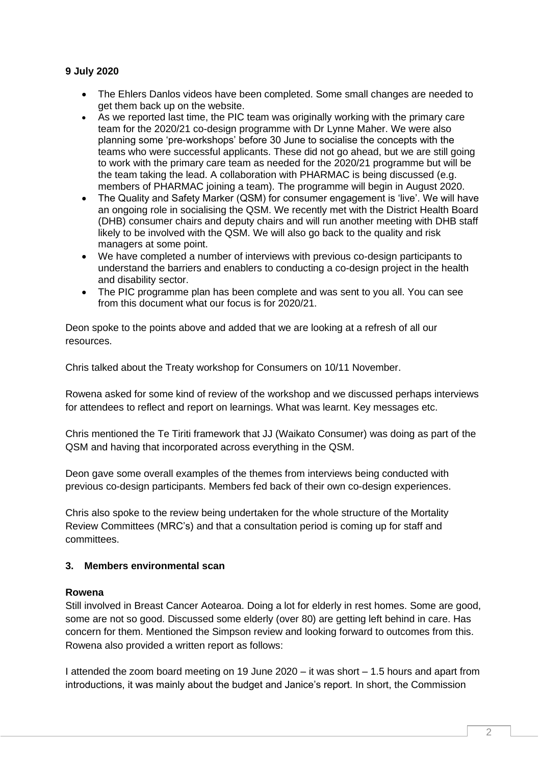#### **9 July 2020**

- The Ehlers Danlos videos have been completed. Some small changes are needed to get them back up on the website.
- As we reported last time, the PIC team was originally working with the primary care team for the 2020/21 co-design programme with Dr Lynne Maher. We were also planning some 'pre-workshops' before 30 June to socialise the concepts with the teams who were successful applicants. These did not go ahead, but we are still going to work with the primary care team as needed for the 2020/21 programme but will be the team taking the lead. A collaboration with PHARMAC is being discussed (e.g. members of PHARMAC joining a team). The programme will begin in August 2020.
- The Quality and Safety Marker (QSM) for consumer engagement is 'live'. We will have an ongoing role in socialising the QSM. We recently met with the District Health Board (DHB) consumer chairs and deputy chairs and will run another meeting with DHB staff likely to be involved with the QSM. We will also go back to the quality and risk managers at some point.
- We have completed a number of interviews with previous co-design participants to understand the barriers and enablers to conducting a co-design project in the health and disability sector.
- The PIC programme plan has been complete and was sent to you all. You can see from this document what our focus is for 2020/21.

Deon spoke to the points above and added that we are looking at a refresh of all our resources.

Chris talked about the Treaty workshop for Consumers on 10/11 November.

Rowena asked for some kind of review of the workshop and we discussed perhaps interviews for attendees to reflect and report on learnings. What was learnt. Key messages etc.

Chris mentioned the Te Tiriti framework that JJ (Waikato Consumer) was doing as part of the QSM and having that incorporated across everything in the QSM.

Deon gave some overall examples of the themes from interviews being conducted with previous co-design participants. Members fed back of their own co-design experiences.

Chris also spoke to the review being undertaken for the whole structure of the Mortality Review Committees (MRC's) and that a consultation period is coming up for staff and committees.

#### **3. Members environmental scan**

#### **Rowena**

Still involved in Breast Cancer Aotearoa. Doing a lot for elderly in rest homes. Some are good, some are not so good. Discussed some elderly (over 80) are getting left behind in care. Has concern for them. Mentioned the Simpson review and looking forward to outcomes from this. Rowena also provided a written report as follows:

I attended the zoom board meeting on 19 June 2020 – it was short – 1.5 hours and apart from introductions, it was mainly about the budget and Janice's report. In short, the Commission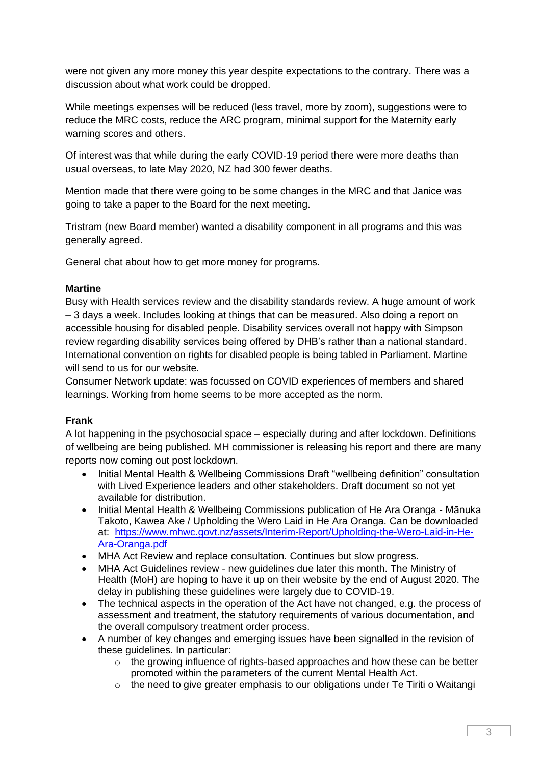were not given any more money this year despite expectations to the contrary. There was a discussion about what work could be dropped.

While meetings expenses will be reduced (less travel, more by zoom), suggestions were to reduce the MRC costs, reduce the ARC program, minimal support for the Maternity early warning scores and others.

Of interest was that while during the early COVID-19 period there were more deaths than usual overseas, to late May 2020, NZ had 300 fewer deaths.

Mention made that there were going to be some changes in the MRC and that Janice was going to take a paper to the Board for the next meeting.

Tristram (new Board member) wanted a disability component in all programs and this was generally agreed.

General chat about how to get more money for programs.

#### **Martine**

Busy with Health services review and the disability standards review. A huge amount of work – 3 days a week. Includes looking at things that can be measured. Also doing a report on accessible housing for disabled people. Disability services overall not happy with Simpson review regarding disability services being offered by DHB's rather than a national standard. International convention on rights for disabled people is being tabled in Parliament. Martine will send to us for our website.

Consumer Network update: was focussed on COVID experiences of members and shared learnings. Working from home seems to be more accepted as the norm.

## **Frank**

A lot happening in the psychosocial space – especially during and after lockdown. Definitions of wellbeing are being published. MH commissioner is releasing his report and there are many reports now coming out post lockdown.

- Initial Mental Health & Wellbeing Commissions Draft "wellbeing definition" consultation with Lived Experience leaders and other stakeholders. Draft document so not yet available for distribution.
- Initial Mental Health & Wellbeing Commissions publication of He Ara Oranga Mānuka Takoto, Kawea Ake / Upholding the Wero Laid in He Ara Oranga. Can be downloaded at: [https://www.mhwc.govt.nz/assets/Interim-Report/Upholding-the-Wero-Laid-in-He-](https://www.mhwc.govt.nz/assets/Interim-Report/Upholding-the-Wero-Laid-in-He-Ara-Oranga.pdf)[Ara-Oranga.pdf](https://www.mhwc.govt.nz/assets/Interim-Report/Upholding-the-Wero-Laid-in-He-Ara-Oranga.pdf)
- MHA Act Review and replace consultation. Continues but slow progress.
- MHA Act Guidelines review new guidelines due later this month. The Ministry of Health (MoH) are hoping to have it up on their website by the end of August 2020. The delay in publishing these guidelines were largely due to COVID-19.
- The technical aspects in the operation of the Act have not changed, e.g. the process of assessment and treatment, the statutory requirements of various documentation, and the overall compulsory treatment order process.
- A number of key changes and emerging issues have been signalled in the revision of these guidelines. In particular:
	- $\circ$  the growing influence of rights-based approaches and how these can be better promoted within the parameters of the current Mental Health Act.
	- o the need to give greater emphasis to our obligations under Te Tiriti o Waitangi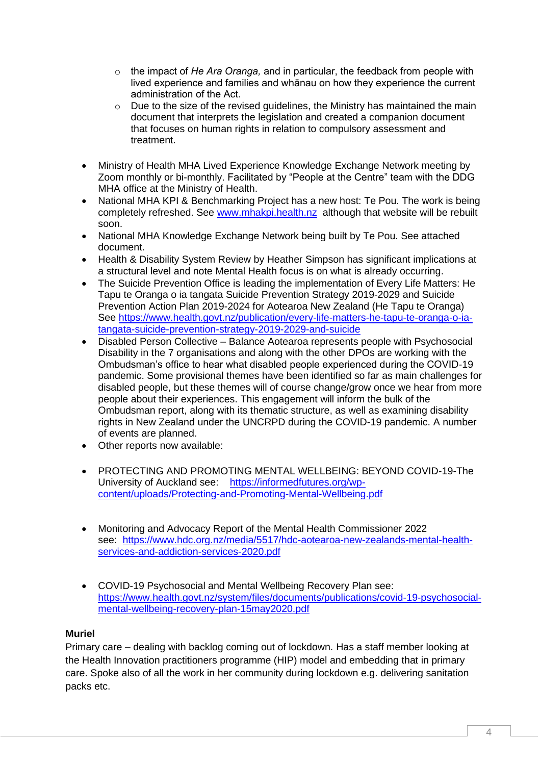- o the impact of *He Ara Oranga,* and in particular, the feedback from people with lived experience and families and whānau on how they experience the current administration of the Act.
- $\circ$  Due to the size of the revised guidelines, the Ministry has maintained the main document that interprets the legislation and created a companion document that focuses on human rights in relation to compulsory assessment and treatment.
- Ministry of Health MHA Lived Experience Knowledge Exchange Network meeting by Zoom monthly or bi-monthly. Facilitated by "People at the Centre" team with the DDG MHA office at the Ministry of Health.
- National MHA KPI & Benchmarking Project has a new host: Te Pou. The work is being completely refreshed. See [www.mhakpi.health.nz](http://www.mhakpi.health.nz/) although that website will be rebuilt soon.
- National MHA Knowledge Exchange Network being built by Te Pou. See attached document.
- Health & Disability System Review by Heather Simpson has significant implications at a structural level and note Mental Health focus is on what is already occurring.
- The Suicide Prevention Office is leading the implementation of Every Life Matters: He Tapu te Oranga o ia tangata Suicide Prevention Strategy 2019-2029 and Suicide Prevention Action Plan 2019-2024 for Aotearoa New Zealand (He Tapu te Oranga) See [https://www.health.govt.nz/publication/every-life-matters-he-tapu-te-oranga-o-ia](https://www.health.govt.nz/publication/every-life-matters-he-tapu-te-oranga-o-ia-tangata-suicide-prevention-strategy-2019-2029-and-suicide)[tangata-suicide-prevention-strategy-2019-2029-and-suicide](https://www.health.govt.nz/publication/every-life-matters-he-tapu-te-oranga-o-ia-tangata-suicide-prevention-strategy-2019-2029-and-suicide)
- Disabled Person Collective Balance Aotearoa represents people with Psychosocial Disability in the 7 organisations and along with the other DPOs are working with the Ombudsman's office to hear what disabled people experienced during the COVID-19 pandemic. Some provisional themes have been identified so far as main challenges for disabled people, but these themes will of course change/grow once we hear from more people about their experiences. This engagement will inform the bulk of the Ombudsman report, along with its thematic structure, as well as examining disability rights in New Zealand under the UNCRPD during the COVID-19 pandemic. A number of events are planned.
- Other reports now available:
- PROTECTING AND PROMOTING MENTAL WELLBEING: BEYOND COVID-19-The University of Auckland see: [https://informedfutures.org/wp](https://informedfutures.org/wp-content/uploads/Protecting-and-Promoting-Mental-Wellbeing.pdf)[content/uploads/Protecting-and-Promoting-Mental-Wellbeing.pdf](https://informedfutures.org/wp-content/uploads/Protecting-and-Promoting-Mental-Wellbeing.pdf)
- Monitoring and Advocacy Report of the Mental Health Commissioner 2022 see: [https://www.hdc.org.nz/media/5517/hdc-aotearoa-new-zealands-mental-health](https://www.hdc.org.nz/media/5517/hdc-aotearoa-new-zealands-mental-health-services-and-addiction-services-2020.pdf)[services-and-addiction-services-2020.pdf](https://www.hdc.org.nz/media/5517/hdc-aotearoa-new-zealands-mental-health-services-and-addiction-services-2020.pdf)
- COVID-19 Psychosocial and Mental Wellbeing Recovery Plan see: [https://www.health.govt.nz/system/files/documents/publications/covid-19-psychosocial](https://www.health.govt.nz/system/files/documents/publications/covid-19-psychosocial-mental-wellbeing-recovery-plan-15may2020.pdf)[mental-wellbeing-recovery-plan-15may2020.pdf](https://www.health.govt.nz/system/files/documents/publications/covid-19-psychosocial-mental-wellbeing-recovery-plan-15may2020.pdf)

## **Muriel**

Primary care – dealing with backlog coming out of lockdown. Has a staff member looking at the Health Innovation practitioners programme (HIP) model and embedding that in primary care. Spoke also of all the work in her community during lockdown e.g. delivering sanitation packs etc.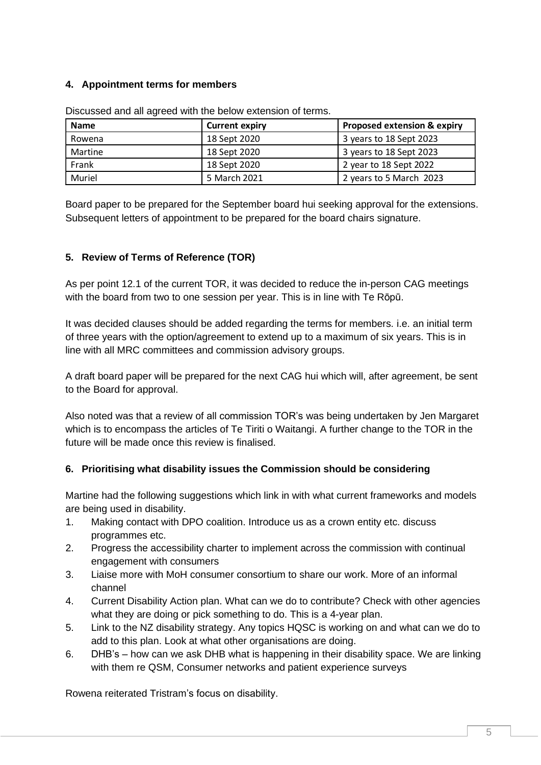## **4. Appointment terms for members**

| <b>Name</b> | <b>Current expiry</b> | <b>Proposed extension &amp; expiry</b> |
|-------------|-----------------------|----------------------------------------|
| Rowena      | 18 Sept 2020          | 3 years to 18 Sept 2023                |
| Martine     | 18 Sept 2020          | 3 years to 18 Sept 2023                |
| Frank       | 18 Sept 2020          | 2 year to 18 Sept 2022                 |
| Muriel      | 5 March 2021          | 2 years to 5 March 2023                |

Discussed and all agreed with the below extension of terms.

Board paper to be prepared for the September board hui seeking approval for the extensions. Subsequent letters of appointment to be prepared for the board chairs signature.

# **5. Review of Terms of Reference (TOR)**

As per point 12.1 of the current TOR, it was decided to reduce the in-person CAG meetings with the board from two to one session per year. This is in line with Te Rōpū.

It was decided clauses should be added regarding the terms for members. i.e. an initial term of three years with the option/agreement to extend up to a maximum of six years. This is in line with all MRC committees and commission advisory groups.

A draft board paper will be prepared for the next CAG hui which will, after agreement, be sent to the Board for approval.

Also noted was that a review of all commission TOR's was being undertaken by Jen Margaret which is to encompass the articles of Te Tiriti o Waitangi. A further change to the TOR in the future will be made once this review is finalised.

## **6. Prioritising what disability issues the Commission should be considering**

Martine had the following suggestions which link in with what current frameworks and models are being used in disability.

- 1. Making contact with DPO coalition. Introduce us as a crown entity etc. discuss programmes etc.
- 2. Progress the accessibility charter to implement across the commission with continual engagement with consumers
- 3. Liaise more with MoH consumer consortium to share our work. More of an informal channel
- 4. Current Disability Action plan. What can we do to contribute? Check with other agencies what they are doing or pick something to do. This is a 4-year plan.
- 5. Link to the NZ disability strategy. Any topics HQSC is working on and what can we do to add to this plan. Look at what other organisations are doing.
- 6. DHB's how can we ask DHB what is happening in their disability space. We are linking with them re QSM, Consumer networks and patient experience surveys

Rowena reiterated Tristram's focus on disability.